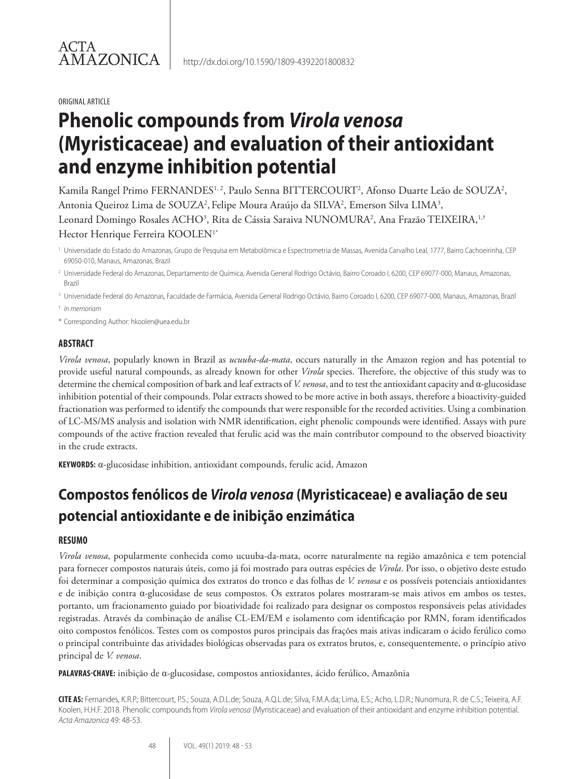#### ORIGINAL ARTICLE

AMAZONICA

ACTA

# **Phenolic compounds from** *Virola venosa* **(Myristicaceae) and evaluation of their antioxidant and enzyme inhibition potential**

Kamila Rangel Primo FERNANDES<sup>1, 2</sup>, Paulo Senna BITTERCOURT<sup>2</sup>, Afonso Duarte Leão de SOUZA<sup>2</sup>, Antonia Queiroz Lima de SOUZA<sup>2</sup>, Felipe Moura Araújo da SILVA<sup>2</sup>, Emerson Silva LIMA<sup>3</sup>, Leonard Domingo Rosales ACHO<sup>3</sup>, Rita de Cássia Saraiva NUNOMURA<sup>2</sup>, Ana Frazão TEIXEIRA,<sup>1,†</sup> Hector Henrique Ferreira KOOLEN<sup>1\*</sup>

- <sup>1</sup> Universidade do Estado do Amazonas, Grupo de Pesquisa em Metabolômica e Espectrometria de Massas, Avenida Carvalho Leal, 1777, Bairro Cachoeirinha, CEP 69050-010, Manaus, Amazonas, Brazil
- <sup>2</sup> Universidade Federal do Amazonas, Departamento de Química, Avenida General Rodrigo Octávio, Bairro Coroado I, 6200, CEP 69077-000, Manaus, Amazonas, Brazil
- <sup>3</sup> Universidade Federal do Amazonas, Faculdade de Farmácia, Avenida General Rodrigo Octávio, Bairro Coroado I, 6200, CEP 69077-000, Manaus, Amazonas, Brazil
- † *in memoriam*
- \* Corresponding Author: hkoolen@uea.edu.br

#### **ABSTRACT**

*Virola venosa*, popularly known in Brazil as *ucuuba-da-mata*, occurs naturally in the Amazon region and has potential to provide useful natural compounds, as already known for other *Virola* species. Therefore, the objective of this study was to determine the chemical composition of bark and leaf extracts of *V. venosa*, and to test the antioxidant capacity and α-glucosidase inhibition potential of their compounds. Polar extracts showed to be more active in both assays, therefore a bioactivity-guided fractionation was performed to identify the compounds that were responsible for the recorded activities. Using a combination of LC-MS/MS analysis and isolation with NMR identification, eight phenolic compounds were identified. Assays with pure compounds of the active fraction revealed that ferulic acid was the main contributor compound to the observed bioactivity in the crude extracts.

**KEYWORDS:** α-glucosidase inhibition, antioxidant compounds, ferulic acid, Amazon

## **Compostos fenólicos de** *Virola venosa* **(Myristicaceae) e avaliação de seu potencial antioxidante e de inibição enzimática**

#### **RESUMO**

*Virola venosa*, popularmente conhecida como ucuuba-da-mata, ocorre naturalmente na região amazônica e tem potencial para fornecer compostos naturais úteis, como já foi mostrado para outras espécies de *Virola*. Por isso, o objetivo deste estudo foi determinar a composição química dos extratos do tronco e das folhas de *V. venosa* e os possíveis potenciais antioxidantes e de inibição contra α-glucosidase de seus compostos. Os extratos polares mostraram-se mais ativos em ambos os testes, portanto, um fracionamento guiado por bioatividade foi realizado para designar os compostos responsáveis pelas atividades registradas. Através da combinação de análise CL-EM/EM e isolamento com identificação por RMN, foram identificados oito compostos fenólicos. Testes com os compostos puros principais das frações mais ativas indicaram o ácido ferúlico como o principal contribuinte das atividades biológicas observadas para os extratos brutos, e, consequentemente, o princípio ativo principal de *V. venosa*.

**PALAVRAS-CHAVE:** inibição de α-glucosidase, compostos antioxidantes, ácido ferúlico, Amazônia

**CITE AS:** Fernandes, K.R.P.; Bittercourt, P.S.; Souza, A.D.L.de; Souza, A.Q.L.de; Silva, F.M.A.da; Lima, E.S.; Acho, L.D.R.; Nunomura, R. de C.S.; Teixeira, A.F. Koolen, H.H.F. 2018. Phenolic compounds from *Virola venosa* (Myristicaceae) and evaluation of their antioxidant and enzyme inhibition potential. *Acta Amazonica* 49: 48-53.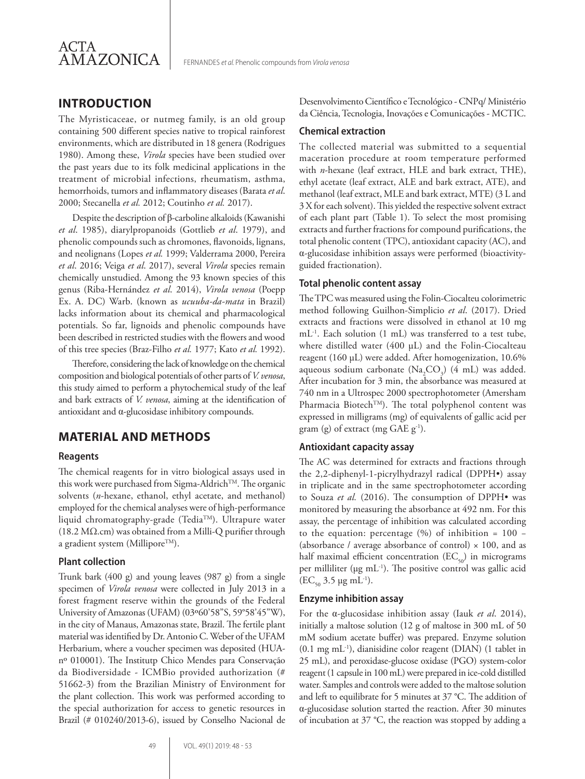

## **INTRODUCTION**

The Myristicaceae, or nutmeg family, is an old group containing 500 different species native to tropical rainforest environments, which are distributed in 18 genera (Rodrigues 1980). Among these, *Virola* species have been studied over the past years due to its folk medicinal applications in the treatment of microbial infections, rheumatism, asthma, hemorrhoids, tumors and inflammatory diseases (Barata *et al*. 2000; Stecanella *et al.* 2012; Coutinho *et al.* 2017).

Despite the description of β-carboline alkaloids (Kawanishi *et al*. 1985), diarylpropanoids (Gottlieb *et al*. 1979), and phenolic compounds such as chromones, flavonoids, lignans, and neolignans (Lopes *et al.* 1999; Valderrama 2000, Pereira *et al*. 2016; Veiga *et al*. 2017), several *Virola* species remain chemically unstudied. Among the 93 known species of this genus (Riba-Hernández *et al*. 2014), *Virola venosa* (Poepp Ex. A. DC) Warb. (known as *ucuuba-da-mata* in Brazil) lacks information about its chemical and pharmacological potentials. So far, lignoids and phenolic compounds have been described in restricted studies with the flowers and wood of this tree species (Braz-Filho *et al.* 1977; Kato *et al.* 1992).

Therefore, considering the lack of knowledge on the chemical composition and biological potentials of other parts of *V. venosa*, this study aimed to perform a phytochemical study of the leaf and bark extracts of *V. venosa*, aiming at the identification of antioxidant and α-glucosidase inhibitory compounds.

## **MATERIAL AND METHODS**

#### **Reagents**

The chemical reagents for in vitro biological assays used in this work were purchased from Sigma-Aldrich<sup>TM</sup>. The organic solvents (*n*-hexane, ethanol, ethyl acetate, and methanol) employed for the chemical analyses were of high-performance liquid chromatography-grade (TediaTM). Ultrapure water (18.2 M $\Omega$ .cm) was obtained from a Milli-Q purifier through a gradient system (Millipore<sup>TM</sup>).

#### **Plant collection**

Trunk bark (400 g) and young leaves (987 g) from a single specimen of *Virola venosa* were collected in July 2013 in a forest fragment reserve within the grounds of the Federal University of Amazonas (UFAM) (03º60'58"S, 59°58'45"W), in the city of Manaus, Amazonas state, Brazil. The fertile plant material was identified by Dr. Antonio C. Weber of the UFAM Herbarium, where a voucher specimen was deposited (HUAnº 010001). The Institutp Chico Mendes para Conservação da Biodiversidade - ICMBio provided authorization (# 51662-3) from the Brazilian Ministry of Environment for the plant collection. This work was performed according to the special authorization for access to genetic resources in Brazil (# 010240/2013-6), issued by Conselho Nacional de Desenvolvimento Científico e Tecnológico - CNPq/ Ministério da Ciência, Tecnologia, Inovações e Comunicações - MCTIC.

#### **Chemical extraction**

The collected material was submitted to a sequential maceration procedure at room temperature performed with *n*-hexane (leaf extract, HLE and bark extract, THE), ethyl acetate (leaf extract, ALE and bark extract, ATE), and methanol (leaf extract, MLE and bark extract, MTE) (3 L and 3 X for each solvent). This yielded the respective solvent extract of each plant part (Table 1). To select the most promising extracts and further fractions for compound purifications, the total phenolic content (TPC), antioxidant capacity (AC), and α-glucosidase inhibition assays were performed (bioactivityguided fractionation).

#### **Total phenolic content assay**

The TPC was measured using the Folin-Ciocalteu colorimetric method following Guilhon-Simplicio *et al*. (2017). Dried extracts and fractions were dissolved in ethanol at 10 mg mL<sup>-1</sup>. Each solution (1 mL) was transferred to a test tube, where distilled water (400 μL) and the Folin-Ciocalteau reagent (160 μL) were added. After homogenization, 10.6% aqueous sodium carbonate ( $\text{Na}_2\text{CO}_3$ ) (4 mL) was added. After incubation for 3 min, the absorbance was measured at 740 nm in a Ultrospec 2000 spectrophotometer (Amersham Pharmacia Biotech<sup>TM</sup>). The total polyphenol content was expressed in milligrams (mg) of equivalents of gallic acid per gram (g) of extract (mg  $GAE$  g<sup>-1</sup>).

#### **Antioxidant capacity assay**

The AC was determined for extracts and fractions through the 2,2-diphenyl-1-picrylhydrazyl radical (DPPH•) assay in triplicate and in the same spectrophotometer according to Souza *et al.* (2016). The consumption of DPPH• was monitored by measuring the absorbance at 492 nm. For this assay, the percentage of inhibition was calculated according to the equation: percentage (%) of inhibition = 100 − (absorbance / average absorbance of control)  $\times$  100, and as half maximal efficient concentration  $(EC_{50})$  in micrograms per milliliter (μg mL-1). The positive control was gallic acid  $(EC_{50} 3.5 \mu g \text{ mL}^{-1}).$ 

#### **Enzyme inhibition assay**

For the α-glucosidase inhibition assay (Iauk *et al*. 2014), initially a maltose solution (12 g of maltose in 300 mL of 50 mM sodium acetate buffer) was prepared. Enzyme solution (0.1 mg mL-1), dianisidine color reagent (DIAN) (1 tablet in 25 mL), and peroxidase-glucose oxidase (PGO) system-color reagent (1 capsule in 100 mL) were prepared in ice-cold distilled water. Samples and controls were added to the maltose solution and left to equilibrate for 5 minutes at 37 °C. The addition of α-glucosidase solution started the reaction. After 30 minutes of incubation at 37 °C, the reaction was stopped by adding a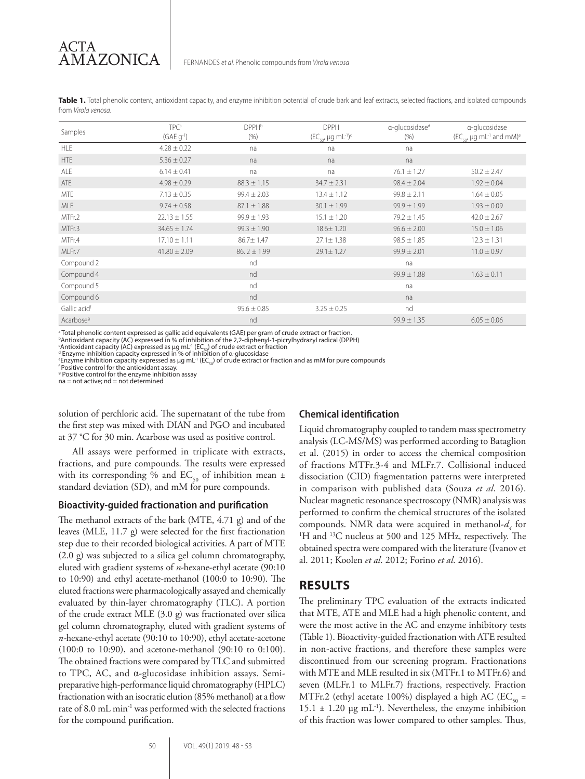Table 1. Total phenolic content, antioxidant capacity, and enzyme inhibition potential of crude bark and leaf extracts, selected fractions, and isolated compounds from *Virola venosa*.

| Samples                  | TPC <sup>a</sup><br>$(GAEg^{-1})$ | DPPH <sup>b</sup><br>(% ) | <b>DPPH</b><br>$(EC_{\text{cov}}$ µg mL <sup>-1</sup> ) <sup>c</sup> | a-glucosidase <sup>d</sup><br>(% ) | a-glucosidase<br>$(EC_{\mathsf{c},\alpha'}$ µg mL <sup>-1</sup> and mM) <sup>e</sup> |
|--------------------------|-----------------------------------|---------------------------|----------------------------------------------------------------------|------------------------------------|--------------------------------------------------------------------------------------|
| <b>HLE</b>               | $4.28 \pm 0.22$                   | na                        | na                                                                   | na                                 |                                                                                      |
| <b>HTE</b>               | $5.36 \pm 0.27$                   | na                        | na                                                                   | na                                 |                                                                                      |
| ALE                      | $6.14 \pm 0.41$                   | na                        | na                                                                   | $76.1 \pm 1.27$                    | $50.2 \pm 2.47$                                                                      |
| ATE                      | $4.98 \pm 0.29$                   | $88.3 \pm 1.15$           | $34.7 \pm 2.31$                                                      | $98.4 \pm 2.04$                    | $1.92 \pm 0.04$                                                                      |
| <b>MTE</b>               | $7.13 \pm 0.35$                   | $99.4 \pm 2.03$           | $13.4 \pm 1.12$                                                      | $99.8 \pm 2.11$                    | $1.64 \pm 0.05$                                                                      |
| <b>MLE</b>               | $9.74 \pm 0.58$                   | $87.1 \pm 1.88$           | $30.1 \pm 1.99$                                                      | $99.9 \pm 1.99$                    | $1.93 \pm 0.09$                                                                      |
| MTFr.2                   | $22.13 \pm 1.55$                  | $99.9 \pm 1.93$           | $15.1 \pm 1.20$                                                      | $79.2 \pm 1.45$                    | $42.0 \pm 2.67$                                                                      |
| MTFr.3                   | $34.65 \pm 1.74$                  | $99.3 \pm 1.90$           | $18.6 \pm 1.20$                                                      | $96.6 \pm 2.00$                    | $15.0 \pm 1.06$                                                                      |
| MTFr.4                   | $17.10 \pm 1.11$                  | $86.7 \pm 1.47$           | $27.1 \pm 1.38$                                                      | $98.5 \pm 1.85$                    | $12.3 \pm 1.31$                                                                      |
| MLFr.7                   | $41.80 \pm 2.09$                  | $86.2 \pm 1.99$           | $29.1 \pm 1.27$                                                      | $99.9 \pm 2.01$                    | $11.0 \pm 0.97$                                                                      |
| Compound 2               |                                   | nd                        |                                                                      | na                                 |                                                                                      |
| Compound 4               |                                   | nd                        |                                                                      | $99.9 \pm 1.88$                    | $1.63 \pm 0.11$                                                                      |
| Compound 5               |                                   | nd                        |                                                                      | na                                 |                                                                                      |
| Compound 6               |                                   | nd                        |                                                                      | na                                 |                                                                                      |
| Gallic acid <sup>f</sup> |                                   | $95.6 \pm 0.85$           | $3.25 \pm 0.25$                                                      | nd                                 |                                                                                      |
| Acarbose <sup>9</sup>    |                                   | nd                        |                                                                      | $99.9 \pm 1.35$                    | $6.05 \pm 0.06$                                                                      |

ª Total phenolic content expressed as gallic acid equivalents (GAE) per gram of crude extract or fraction.<br>ʰAntioxidant capacity (AC) expressed in % of inhibition of the 2,2-diphenyl-1-picrylhydrazyl radical (DPPH)

<sup>c</sup>Antioxidant capacity (AC) expressed as μg mL<sup>.</sup>' (EC<sub>so</sub>) of crude extract or fraction<br><sup>4</sup> Enzyme inhibition capacity expressed in % of inhibition of α-glucosidase<br>\*Enzyme inhibition capacity expressed as μg mL<sup>.</sup>' (EC

<sup>f</sup> Positive control for the antioxidant assay.<br><sup>g</sup> Positive control for the enzyme inhibition assay

na = not active; nd = not determined

solution of perchloric acid. The supernatant of the tube from the first step was mixed with DIAN and PGO and incubated at 37 °C for 30 min. Acarbose was used as positive control.

All assays were performed in triplicate with extracts, fractions, and pure compounds. The results were expressed with its corresponding % and  $EC_{50}$  of inhibition mean  $\pm$ standard deviation (SD), and mM for pure compounds.

#### **Bioactivity-guided fractionation and purification**

The methanol extracts of the bark (MTE, 4.71 g) and of the leaves (MLE, 11.7 g) were selected for the first fractionation step due to their recorded biological activities. A part of MTE (2.0 g) was subjected to a silica gel column chromatography, eluted with gradient systems of *n-*hexane-ethyl acetate (90:10 to 10:90) and ethyl acetate-methanol (100:0 to 10:90). The eluted fractions were pharmacologically assayed and chemically evaluated by thin-layer chromatography (TLC). A portion of the crude extract MLE (3.0 g) was fractionated over silica gel column chromatography, eluted with gradient systems of *n-*hexane-ethyl acetate (90:10 to 10:90), ethyl acetate-acetone (100:0 to 10:90), and acetone-methanol (90:10 to 0:100). The obtained fractions were compared by TLC and submitted to TPC, AC, and α-glucosidase inhibition assays. Semipreparative high-performance liquid chromatography (HPLC) fractionation with an isocratic elution (85% methanol) at a flow rate of 8.0 mL min<sup>-1</sup> was performed with the selected fractions for the compound purification.

#### **Chemical identification**

Liquid chromatography coupled to tandem mass spectrometry analysis (LC-MS/MS) was performed according to Bataglion et al. (2015) in order to access the chemical composition of fractions MTFr.3-4 and MLFr.7. Collisional induced dissociation (CID) fragmentation patterns were interpreted in comparison with published data (Souza *et al*. 2016). Nuclear magnetic resonance spectroscopy (NMR) analysis was performed to confirm the chemical structures of the isolated compounds. NMR data were acquired in methanol- $d_A$  for <sup>1</sup>H and <sup>13</sup>C nucleus at 500 and 125 MHz, respectively. The obtained spectra were compared with the literature (Ivanov et al. 2011; Koolen *et al*. 2012; Forino *et al*. 2016).

#### **RESULTS**

The preliminary TPC evaluation of the extracts indicated that MTE, ATE and MLE had a high phenolic content, and were the most active in the AC and enzyme inhibitory tests (Table 1). Bioactivity-guided fractionation with ATE resulted in non-active fractions, and therefore these samples were discontinued from our screening program. Fractionations with MTE and MLE resulted in six (MTFr.1 to MTFr.6) and seven (MLFr.1 to MLFr.7) fractions, respectively. Fraction MTFr.2 (ethyl acetate 100%) displayed a high AC ( $EC_{50}$  =  $15.1 \pm 1.20$  µg mL<sup>-1</sup>). Nevertheless, the enzyme inhibition of this fraction was lower compared to other samples. Thus,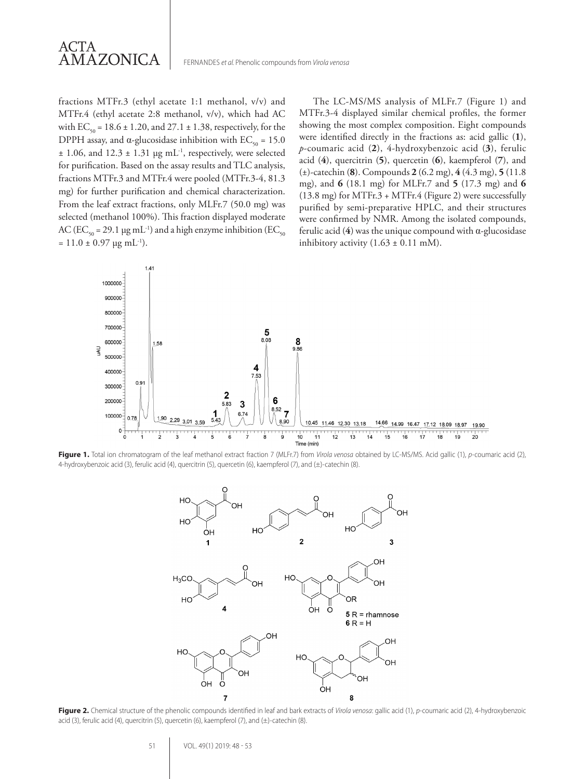

fractions MTFr.3 (ethyl acetate 1:1 methanol, v/v) and MTFr.4 (ethyl acetate 2:8 methanol, v/v), which had AC with  $EC_{50} = 18.6 \pm 1.20$ , and  $27.1 \pm 1.38$ , respectively, for the DPPH assay, and α-glucosidase inhibition with  $EC_{50} = 15.0$  $\pm$  1.06, and 12.3  $\pm$  1.31 µg mL<sup>-1</sup>, respectively, were selected for purification. Based on the assay results and TLC analysis, fractions MTFr.3 and MTFr.4 were pooled (MTFr.3-4, 81.3 mg) for further purification and chemical characterization. From the leaf extract fractions, only MLFr.7 (50.0 mg) was selected (methanol 100%). This fraction displayed moderate AC (EC<sub>50</sub> = 29.1 µg mL<sup>-1</sup>) and a high enzyme inhibition (EC<sub>50</sub>  $= 11.0 \pm 0.97 \,\mu g \,\text{mL}^{-1}$ .

The LC-MS/MS analysis of MLFr.7 (Figure 1) and MTFr.3-4 displayed similar chemical profiles, the former showing the most complex composition. Eight compounds were identified directly in the fractions as: acid gallic (**1**), *p*-coumaric acid (**2**), 4-hydroxybenzoic acid (**3**), ferulic acid (**4**), quercitrin (**5**), quercetin (**6**), kaempferol (**7**), and (±)-catechin (**8**). Compounds **2** (6.2 mg), **4** (4.3 mg), **5** (11.8 mg), and **6** (18.1 mg) for MLFr.7 and **5** (17.3 mg) and **6** (13.8 mg) for MTFr.3 + MTFr.4 (Figure 2) were successfully purified by semi-preparative HPLC, and their structures were confirmed by NMR. Among the isolated compounds, ferulic acid (**4**) was the unique compound with α-glucosidase inhibitory activity  $(1.63 \pm 0.11 \text{ mM})$ .



**Figure 1.** Total ion chromatogram of the leaf methanol extract fraction 7 (MLFr.7) from *Virola venosa* obtained by LC-MS/MS. Acid gallic (1), *p*-coumaric acid (2), 4-hydroxybenzoic acid (3), ferulic acid (4), quercitrin (5), quercetin (6), kaempferol (7), and (±)-catechin (8).



**Figure 2.** Chemical structure of the phenolic compounds identified in leaf and bark extracts of *Virola venosa*: gallic acid (1), *p*-coumaric acid (2), 4-hydroxybenzoic acid (3), ferulic acid (4), quercitrin (5), quercetin (6), kaempferol (7), and (±)-catechin (8)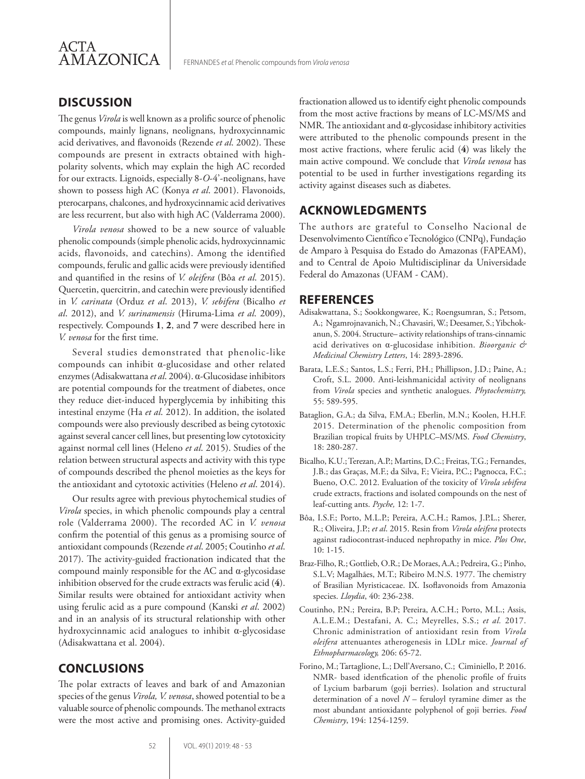

## **DISCUSSION**

The genus *Virola* is well known as a prolific source of phenolic compounds, mainly lignans, neolignans, hydroxycinnamic acid derivatives, and flavonoids (Rezende *et al*. 2002). These compounds are present in extracts obtained with highpolarity solvents, which may explain the high AC recorded for our extracts. Lignoids, especially 8-*O*-4'-neolignans, have shown to possess high AC (Konya *et al*. 2001). Flavonoids, pterocarpans, chalcones, and hydroxycinnamic acid derivatives are less recurrent, but also with high AC (Valderrama 2000).

*Virola venosa* showed to be a new source of valuable phenolic compounds (simple phenolic acids, hydroxycinnamic acids, flavonoids, and catechins). Among the identified compounds, ferulic and gallic acids were previously identified and quantified in the resins of *V. oleifera* (Bôa *et al*. 2015). Quercetin, quercitrin, and catechin were previously identified in *V. carinata* (Orduz *et al*. 2013), *V. sebifera* (Bicalho *et al*. 2012), and *V. surinamensis* (Hiruma-Lima *et al*. 2009), respectively. Compounds **1**, **2**, and **7** were described here in *V. venosa* for the first time.

Several studies demonstrated that phenolic-like compounds can inhibit α-glucosidase and other related enzymes (Adisakwattana *et al*. 2004). α-Glucosidase inhibitors are potential compounds for the treatment of diabetes, once they reduce diet-induced hyperglycemia by inhibiting this intestinal enzyme (Ha *et al*. 2012). In addition, the isolated compounds were also previously described as being cytotoxic against several cancer cell lines, but presenting low cytotoxicity against normal cell lines (Heleno *et al*. 2015). Studies of the relation between structural aspects and activity with this type of compounds described the phenol moieties as the keys for the antioxidant and cytotoxic activities (Heleno *et al*. 2014).

Our results agree with previous phytochemical studies of *Virola* species, in which phenolic compounds play a central role (Valderrama 2000). The recorded AC in *V. venosa* confirm the potential of this genus as a promising source of antioxidant compounds (Rezende *et al*. 2005; Coutinho *et al*. 2017). The activity-guided fractionation indicated that the compound mainly responsible for the AC and α-glycosidase inhibition observed for the crude extracts was ferulic acid (**4**). Similar results were obtained for antioxidant activity when using ferulic acid as a pure compound (Kanski *et al*. 2002) and in an analysis of its structural relationship with other hydroxycinnamic acid analogues to inhibit α-glycosidase (Adisakwattana et al. 2004).

## **CONCLUSIONS**

The polar extracts of leaves and bark of and Amazonian species of the genus *Virola, V. venosa*, showed potential to be a valuable source of phenolic compounds. The methanol extracts were the most active and promising ones. Activity-guided fractionation allowed us to identify eight phenolic compounds from the most active fractions by means of LC-MS/MS and NMR. The antioxidant and α-glycosidase inhibitory activities were attributed to the phenolic compounds present in the most active fractions, where ferulic acid (**4**) was likely the main active compound. We conclude that *Virola venosa* has potential to be used in further investigations regarding its activity against diseases such as diabetes.

## **ACKNOWLEDGMENTS**

The authors are grateful to Conselho Nacional de Desenvolvimento Científico e Tecnológico (CNPq), Fundação de Amparo à Pesquisa do Estado do Amazonas (FAPEAM), and to Central de Apoio Multidisciplinar da Universidade Federal do Amazonas (UFAM - CAM).

#### **REFERENCES**

- Adisakwattana, S.; Sookkongwaree, K.; Roengsumran, S.; Petsom, A.; Ngamrojnavanich, N.; Chavasiri, W.; Deesamer, S.; Yibchokanun, S. 2004. Structure– activity relationships of trans-cinnamic acid derivatives on α-glucosidase inhibition. *Bioorganic & Medicinal Chemistry Letters*, 14: 2893-2896.
- Barata, L.E.S.; Santos, L.S.; Ferri, P.H.; Phillipson, J.D.; Paine, A.; Croft, S.L. 2000. Anti-leishmanicidal activity of neolignans from *Virola* species and synthetic analogues. *Phytochemistry,* 55: 589-595.
- Bataglion, G.A.; da Silva, F.M.A.; Eberlin, M.N.; Koolen, H.H.F. 2015. Determination of the phenolic composition from Brazilian tropical fruits by UHPLC–MS/MS. *Food Chemistry*, 18: 280-287.
- Bicalho, K.U.; Terezan, A.P.; Martins, D.C.; Freitas, T.G.; Fernandes, J.B.; das Graças, M.F.; da Silva, F.; Vieira, P.C.; Pagnocca, F.C.; Bueno, O.C. 2012. Evaluation of the toxicity of *Virola sebifera* crude extracts, fractions and isolated compounds on the nest of leaf-cutting ants. *Psyche,* 12: 1-7.
- Bôa, I.S.F.; Porto, M.L.P.; Pereira, A.C.H.; Ramos, J.P.L.; Sherer, R.; Oliveira, J.P.; *et al*. 2015. Resin from *Virola oleifera* protects against radiocontrast-induced nephropathy in mice. *Plos One*, 10: 1-15.
- Braz-Filho, R.; Gottlieb, O.R.; De Moraes, A.A.; Pedreira, G.; Pinho, S.L.V; Magalhães, M.T.; Ribeiro M.N.S. 1977. The chemistry of Brasilian Myristicaceae. IX. Isoflavonoids from Amazonia species. *Lloydia*, 40: 236-238.
- Coutinho, P.N.; Pereira, B.P; Pereira, A.C.H.; Porto, M.L.; Assis, A.L.E.M.; Destafani, A. C.; Meyrelles, S.S.; *et al.* 2017. Chronic administration of antioxidant resin from *Virola oleifera* attenuantes atherogenesis in LDLr mice. *Journal of Ethnopharmacology,* 206: 65-72.
- Forino, M.; Tartaglione, L.; Dell'Aversano, C.; Ciminiello, P. 2016. NMR- based identfication of the phenolic profile of fruits of Lycium barbarum (goji berries). Isolation and structural determination of a novel *N* – feruloyl tyramine dimer as the most abundant antioxidante polyphenol of goji berries. *Food Chemistry*, 194: 1254-1259.